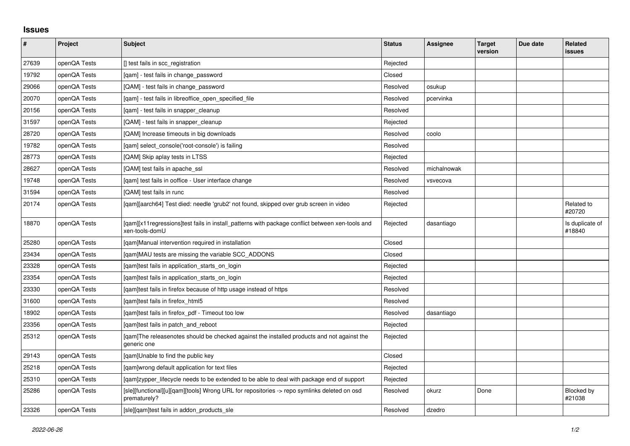## **Issues**

| $\pmb{\#}$ | Project      | <b>Subject</b>                                                                                                    | <b>Status</b> | Assignee    | <b>Target</b><br>version | Due date | Related<br>issues         |
|------------|--------------|-------------------------------------------------------------------------------------------------------------------|---------------|-------------|--------------------------|----------|---------------------------|
| 27639      | openQA Tests | [] test fails in scc registration                                                                                 | Rejected      |             |                          |          |                           |
| 19792      | openQA Tests | [qam] - test fails in change_password                                                                             | Closed        |             |                          |          |                           |
| 29066      | openQA Tests | [QAM] - test fails in change password                                                                             | Resolved      | osukup      |                          |          |                           |
| 20070      | openQA Tests | [qam] - test fails in libreoffice_open_specified_file                                                             | Resolved      | pcervinka   |                          |          |                           |
| 20156      | openQA Tests | [gam] - test fails in snapper cleanup                                                                             | Resolved      |             |                          |          |                           |
| 31597      | openQA Tests | [QAM] - test fails in snapper_cleanup                                                                             | Rejected      |             |                          |          |                           |
| 28720      | openQA Tests | [QAM] Increase timeouts in big downloads                                                                          | Resolved      | coolo       |                          |          |                           |
| 19782      | openQA Tests | [qam] select_console('root-console') is failing                                                                   | Resolved      |             |                          |          |                           |
| 28773      | openQA Tests | [QAM] Skip aplay tests in LTSS                                                                                    | Rejected      |             |                          |          |                           |
| 28627      | openQA Tests | [QAM] test fails in apache ssl                                                                                    | Resolved      | michalnowak |                          |          |                           |
| 19748      | openQA Tests | [qam] test fails in ooffice - User interface change                                                               | Resolved      | vsvecova    |                          |          |                           |
| 31594      | openQA Tests | [QAM] test fails in runc                                                                                          | Resolved      |             |                          |          |                           |
| 20174      | openQA Tests | [gam][aarch64] Test died: needle 'grub2' not found, skipped over grub screen in video                             | Rejected      |             |                          |          | Related to<br>#20720      |
| 18870      | openQA Tests | [qam][x11regressions]test fails in install_patterns with package conflict between xen-tools and<br>xen-tools-domU | Rejected      | dasantiago  |                          |          | Is duplicate of<br>#18840 |
| 25280      | openQA Tests | [gam]Manual intervention required in installation                                                                 | Closed        |             |                          |          |                           |
| 23434      | openQA Tests | [qam]MAU tests are missing the variable SCC_ADDONS                                                                | Closed        |             |                          |          |                           |
| 23328      | openQA Tests | [qam]test fails in application_starts_on_login                                                                    | Rejected      |             |                          |          |                           |
| 23354      | openQA Tests | [gam]test fails in application starts on login                                                                    | Rejected      |             |                          |          |                           |
| 23330      | openQA Tests | [qam]test fails in firefox because of http usage instead of https                                                 | Resolved      |             |                          |          |                           |
| 31600      | openQA Tests | [gam]test fails in firefox html5                                                                                  | Resolved      |             |                          |          |                           |
| 18902      | openQA Tests | [qam]test fails in firefox_pdf - Timeout too low                                                                  | Resolved      | dasantiago  |                          |          |                           |
| 23356      | openQA Tests | [qam]test fails in patch_and_reboot                                                                               | Rejected      |             |                          |          |                           |
| 25312      | openQA Tests | [gam]The releasenotes should be checked against the installed products and not against the<br>generic one         | Rejected      |             |                          |          |                           |
| 29143      | openQA Tests | [gam]Unable to find the public key                                                                                | Closed        |             |                          |          |                           |
| 25218      | openQA Tests | [gam]wrong default application for text files                                                                     | Rejected      |             |                          |          |                           |
| 25310      | openQA Tests | [qam]zypper_lifecycle needs to be extended to be able to deal with package end of support                         | Rejected      |             |                          |          |                           |
| 25286      | openQA Tests | [sle][functional][u][qam][tools] Wrong URL for repositories -> repo symlinks deleted on osd<br>prematurely?       | Resolved      | okurz       | Done                     |          | Blocked by<br>#21038      |
| 23326      | openQA Tests | [sle][qam]test fails in addon products sle                                                                        | Resolved      | dzedro      |                          |          |                           |